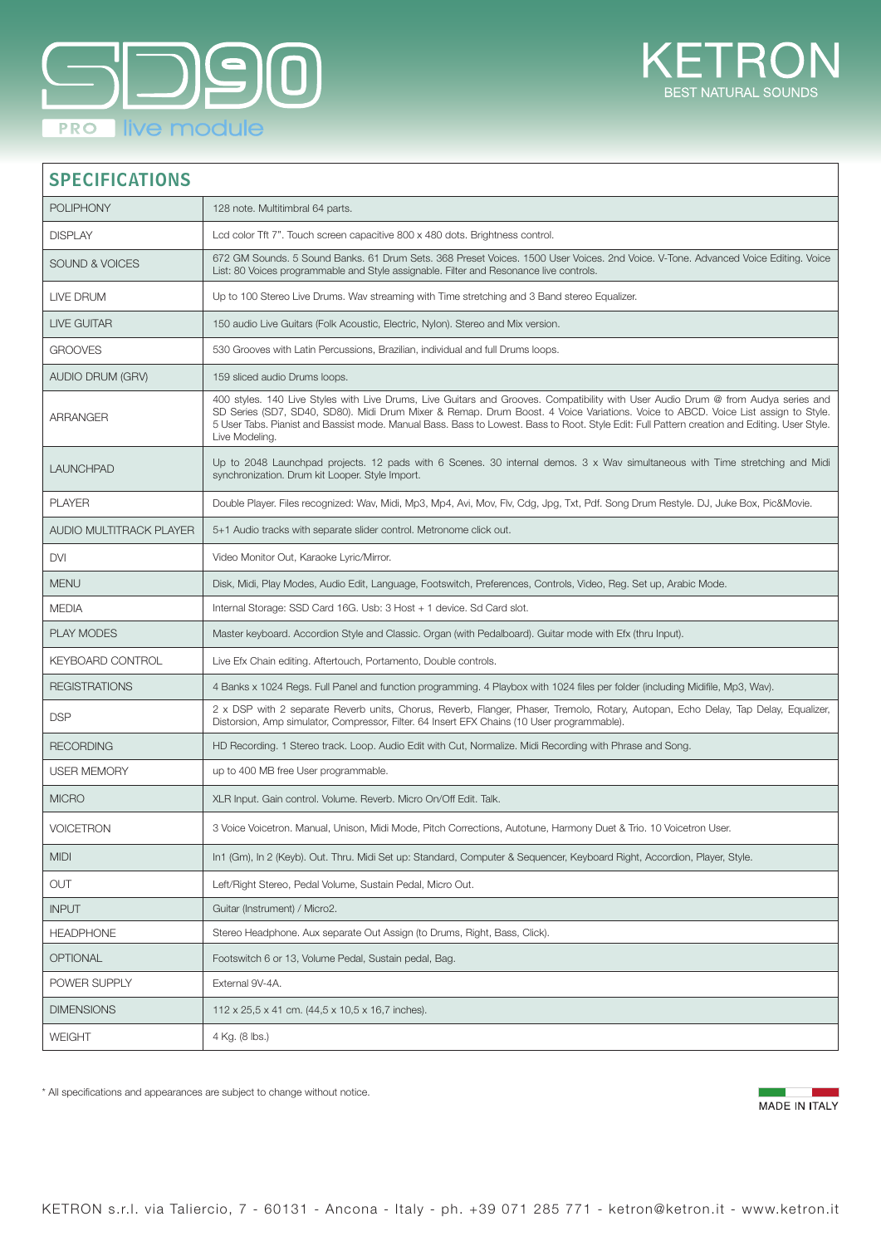



## SPECIFICATIONS

| <b>POLIPHONY</b>               | 128 note. Multitimbral 64 parts.                                                                                                                                                                                                                                                                                                                                                                                                        |
|--------------------------------|-----------------------------------------------------------------------------------------------------------------------------------------------------------------------------------------------------------------------------------------------------------------------------------------------------------------------------------------------------------------------------------------------------------------------------------------|
| <b>DISPLAY</b>                 | Led color Tft 7". Touch screen capacitive 800 x 480 dots. Brightness control.                                                                                                                                                                                                                                                                                                                                                           |
| <b>SOUND &amp; VOICES</b>      | 672 GM Sounds. 5 Sound Banks. 61 Drum Sets. 368 Preset Voices. 1500 User Voices. 2nd Voice. V-Tone. Advanced Voice Editing. Voice<br>List: 80 Voices programmable and Style assignable. Filter and Resonance live controls.                                                                                                                                                                                                             |
| LIVE DRUM                      | Up to 100 Stereo Live Drums. Wav streaming with Time stretching and 3 Band stereo Equalizer.                                                                                                                                                                                                                                                                                                                                            |
| LIVE GUITAR                    | 150 audio Live Guitars (Folk Acoustic, Electric, Nylon). Stereo and Mix version.                                                                                                                                                                                                                                                                                                                                                        |
| <b>GROOVES</b>                 | 530 Grooves with Latin Percussions, Brazilian, individual and full Drums loops.                                                                                                                                                                                                                                                                                                                                                         |
| <b>AUDIO DRUM (GRV)</b>        | 159 sliced audio Drums loops.                                                                                                                                                                                                                                                                                                                                                                                                           |
| <b>ARRANGER</b>                | 400 styles. 140 Live Styles with Live Drums, Live Guitars and Grooves. Compatibility with User Audio Drum @ from Audya series and<br>SD Series (SD7, SD40, SD80). Midi Drum Mixer & Remap. Drum Boost. 4 Voice Variations. Voice to ABCD. Voice List assign to Style.<br>5 User Tabs. Pianist and Bassist mode. Manual Bass. Bass to Lowest. Bass to Root. Style Edit: Full Pattern creation and Editing. User Style.<br>Live Modeling. |
| <b>LAUNCHPAD</b>               | Up to 2048 Launchpad projects. 12 pads with 6 Scenes. 30 internal demos. 3 x Wav simultaneous with Time stretching and Midi<br>synchronization. Drum kit Looper. Style Import.                                                                                                                                                                                                                                                          |
| <b>PLAYER</b>                  | Double Player. Files recognized: Wav, Midi, Mp3, Mp4, Avi, Mov, Flv, Cdg, Jpg, Txt, Pdf. Song Drum Restyle. DJ, Juke Box, Pic&Movie.                                                                                                                                                                                                                                                                                                    |
| <b>AUDIO MULTITRACK PLAYER</b> | 5+1 Audio tracks with separate slider control. Metronome click out.                                                                                                                                                                                                                                                                                                                                                                     |
| <b>DVI</b>                     | Video Monitor Out, Karaoke Lyric/Mirror.                                                                                                                                                                                                                                                                                                                                                                                                |
| <b>MENU</b>                    | Disk, Midi, Play Modes, Audio Edit, Language, Footswitch, Preferences, Controls, Video, Reg. Set up, Arabic Mode.                                                                                                                                                                                                                                                                                                                       |
| <b>MEDIA</b>                   | Internal Storage: SSD Card 16G. Usb: 3 Host + 1 device. Sd Card slot.                                                                                                                                                                                                                                                                                                                                                                   |
| <b>PLAY MODES</b>              | Master keyboard. Accordion Style and Classic. Organ (with Pedalboard). Guitar mode with Efx (thru Input).                                                                                                                                                                                                                                                                                                                               |
| <b>KEYBOARD CONTROL</b>        | Live Efx Chain editing. Aftertouch, Portamento, Double controls.                                                                                                                                                                                                                                                                                                                                                                        |
| <b>REGISTRATIONS</b>           | 4 Banks x 1024 Regs. Full Panel and function programming. 4 Playbox with 1024 files per folder (including Midifile, Mp3, Wav).                                                                                                                                                                                                                                                                                                          |
| <b>DSP</b>                     | 2 x DSP with 2 separate Reverb units, Chorus, Reverb, Flanger, Phaser, Tremolo, Rotary, Autopan, Echo Delay, Tap Delay, Equalizer,<br>Distorsion, Amp simulator, Compressor, Filter. 64 Insert EFX Chains (10 User programmable).                                                                                                                                                                                                       |
| <b>RECORDING</b>               | HD Recording. 1 Stereo track. Loop. Audio Edit with Cut, Normalize. Midi Recording with Phrase and Song.                                                                                                                                                                                                                                                                                                                                |
| <b>USER MEMORY</b>             | up to 400 MB free User programmable.                                                                                                                                                                                                                                                                                                                                                                                                    |
| <b>MICRO</b>                   | XLR Input. Gain control. Volume. Reverb. Micro On/Off Edit. Talk.                                                                                                                                                                                                                                                                                                                                                                       |
| <b>VOICETRON</b>               | 3 Voice Voicetron. Manual, Unison, Midi Mode, Pitch Corrections, Autotune, Harmony Duet & Trio. 10 Voicetron User.                                                                                                                                                                                                                                                                                                                      |
| <b>MIDI</b>                    | In1 (Gm), In 2 (Keyb). Out. Thru. Midi Set up: Standard, Computer & Sequencer, Keyboard Right, Accordion, Player, Style.                                                                                                                                                                                                                                                                                                                |
| <b>OUT</b>                     | Left/Right Stereo, Pedal Volume, Sustain Pedal, Micro Out.                                                                                                                                                                                                                                                                                                                                                                              |
| <b>INPUT</b>                   | Guitar (Instrument) / Micro2.                                                                                                                                                                                                                                                                                                                                                                                                           |
| <b>HEADPHONE</b>               | Stereo Headphone. Aux separate Out Assign (to Drums, Right, Bass, Click).                                                                                                                                                                                                                                                                                                                                                               |
| <b>OPTIONAL</b>                | Footswitch 6 or 13, Volume Pedal, Sustain pedal, Bag.                                                                                                                                                                                                                                                                                                                                                                                   |
| POWER SUPPLY                   | External 9V-4A.                                                                                                                                                                                                                                                                                                                                                                                                                         |
| <b>DIMENSIONS</b>              | 112 x 25,5 x 41 cm. (44,5 x 10,5 x 16,7 inches).                                                                                                                                                                                                                                                                                                                                                                                        |
| <b>WEIGHT</b>                  | 4 Kg. (8 lbs.)                                                                                                                                                                                                                                                                                                                                                                                                                          |
|                                |                                                                                                                                                                                                                                                                                                                                                                                                                                         |

\* All specifications and appearances are subject to change without notice.